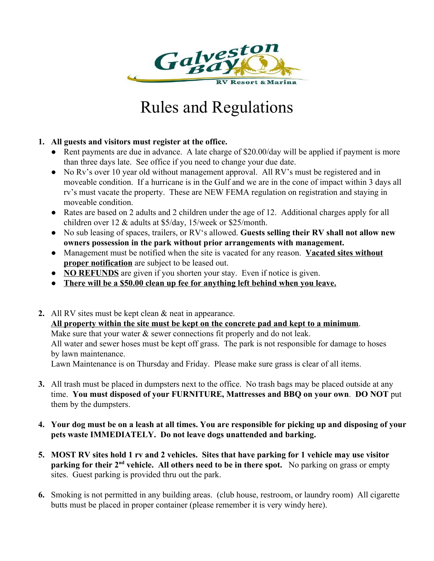

# Rules and Regulations

# **1. All guests and visitors must register at the office.**

- Rent payments are due in advance. A late charge of \$20.00/day will be applied if payment is more than three days late. See office if you need to change your due date.
- No Rv's over 10 year old without management approval. All RV's must be registered and in moveable condition. If a hurricane is in the Gulf and we are in the cone of impact within 3 days all rv's must vacate the property. These are NEW FEMA regulation on registration and staying in moveable condition.
- Rates are based on 2 adults and 2 children under the age of 12. Additional charges apply for all children over 12 & adults at \$5/day, 15/week or \$25/month.
- No sub leasing of spaces, trailers, or RV's allowed. **Guests selling their RV shall not allow new owners possession in the park without prior arrangements with management.**
- Management must be notified when the site is vacated for any reason. **Vacated sites without proper notification** are subject to be leased out.
- **NO REFUNDS** are given if you shorten your stay. Even if notice is given.
- **There will be a \$50.00 clean up fee for anything left behind when you leave.**
- **2.** All RV sites must be kept clean & neat in appearance.  **All property within the site must be kept on the concrete pad and kept to a minimum**.

Make sure that your water  $\&$  sewer connections fit properly and do not leak.

All water and sewer hoses must be kept off grass. The park is not responsible for damage to hoses by lawn maintenance.

Lawn Maintenance is on Thursday and Friday. Please make sure grass is clear of all items.

- **3.** All trash must be placed in dumpsters next to the office. No trash bags may be placed outside at any time. **You must disposed of your FURNITURE, Mattresses and BBQ on your own**. **DO NOT** put them by the dumpsters.
- **4. Your dog must be on a leash at all times. You are responsible for picking up and disposing of your pets waste IMMEDIATELY. Do not leave dogs unattended and barking.**
- **5. MOST RV sites hold 1 rv and 2 vehicles. Sites that have parking for 1 vehicle may use visitor parking for their 2<sup>nd</sup> vehicle. All others need to be in there spot.** No parking on grass or empty sites. Guest parking is provided thru out the park.
- **6.** Smoking is not permitted in any building areas. (club house, restroom, or laundry room) All cigarette butts must be placed in proper container (please remember it is very windy here).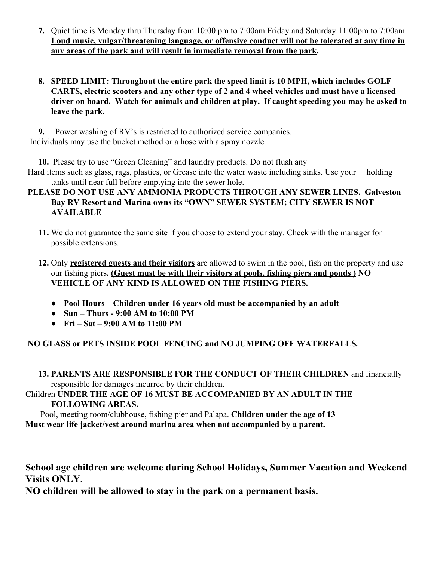- **7.** Quiet time is Monday thru Thursday from 10:00 pm to 7:00am Friday and Saturday 11:00pm to 7:00am. **Loud music, vulgar/threatening language, or offensive conduct will not be tolerated at any time in any areas of the park and will result in immediate removal from the park.**
- **8. SPEED LIMIT: Throughout the entire park the speed limit is 10 MPH, which includes GOLF CARTS, electric scooters and any other type of 2 and 4 wheel vehicles and must have a licensed driver on board. Watch for animals and children at play. If caught speeding you may be asked to leave the park.**

**9.** Power washing of RV's is restricted to authorized service companies. Individuals may use the bucket method or a hose with a spray nozzle.

**10.** Please try to use "Green Cleaning" and laundry products. Do not flush any

 Hard items such as glass, rags, plastics, or Grease into the water waste including sinks. Use your holding tanks until near full before emptying into the sewer hole.

# **PLEASE DO NOT USE ANY AMMONIA PRODUCTS THROUGH ANY SEWER LINES. Galveston Bay RV Resort and Marina owns its "OWN" SEWER SYSTEM; CITY SEWER IS NOT AVAILABLE**

- **11.** We do not guarantee the same site if you choose to extend your stay. Check with the manager for possible extensions.
- **12.** Only **registered guests and their visitors** are allowed to swim in the pool, fish on the property and use our fishing piers**. (Guest must be with their visitors at pools, fishing piers and ponds ) NO VEHICLE OF ANY KIND IS ALLOWED ON THE FISHING PIERS.**
	- **Pool Hours Children under 16 years old must be accompanied by an adult**
	- **Sun Thurs 9:00 AM to 10:00 PM**
	- **Fri Sat 9:00 AM to 11:00 PM**

 **NO GLASS or PETS INSIDE POOL FENCING and NO JUMPING OFF WATERFALLS***.*

**13. PARENTS ARE RESPONSIBLE FOR THE CONDUCT OF THEIR CHILDREN** and financially responsible for damages incurred by their children.

# Children **UNDER THE AGE OF 16 MUST BE ACCOMPANIED BY AN ADULT IN THE FOLLOWING AREAS.**

 Pool, meeting room/clubhouse, fishing pier and Palapa. **Children under the age of 13 Must wear life jacket/vest around marina area when not accompanied by a parent.** 

**School age children are welcome during School Holidays, Summer Vacation and Weekend Visits ONLY.**

**NO children will be allowed to stay in the park on a permanent basis.**